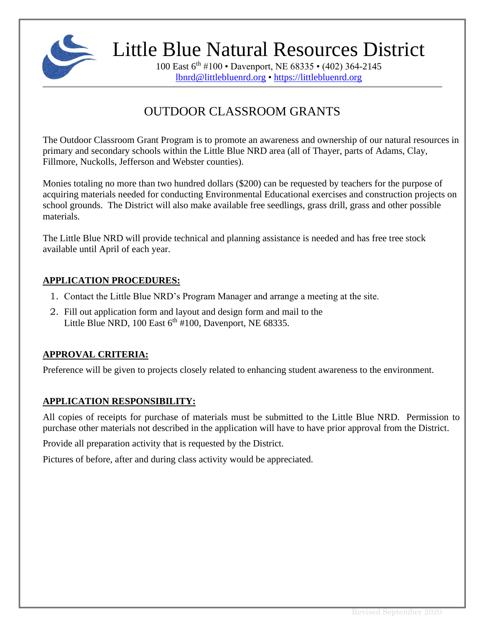

Little Blue Natural Resources District

100 East 6th #100 • Davenport, NE 68335 • (402) 364-2145 [lbnrd@littlebluenrd.org](mailto:lbnrd@littlebluenrd.org) • [https://littlebluenrd.org](https://littlebluenrd.org/)

## OUTDOOR CLASSROOM GRANTS

The Outdoor Classroom Grant Program is to promote an awareness and ownership of our natural resources in primary and secondary schools within the Little Blue NRD area (all of Thayer, parts of Adams, Clay, Fillmore, Nuckolls, Jefferson and Webster counties).

Monies totaling no more than two hundred dollars (\$200) can be requested by teachers for the purpose of acquiring materials needed for conducting Environmental Educational exercises and construction projects on school grounds. The District will also make available free seedlings, grass drill, grass and other possible materials.

The Little Blue NRD will provide technical and planning assistance is needed and has free tree stock available until April of each year.

## **APPLICATION PROCEDURES:**

- 1. Contact the Little Blue NRD's Program Manager and arrange a meeting at the site.
- 2. Fill out application form and layout and design form and mail to the Little Blue NRD, 100 East  $6<sup>th</sup>$  #100, Davenport, NE 68335.

## **APPROVAL CRITERIA:**

Preference will be given to projects closely related to enhancing student awareness to the environment.

## **APPLICATION RESPONSIBILITY:**

All copies of receipts for purchase of materials must be submitted to the Little Blue NRD. Permission to purchase other materials not described in the application will have to have prior approval from the District.

Provide all preparation activity that is requested by the District.

Pictures of before, after and during class activity would be appreciated.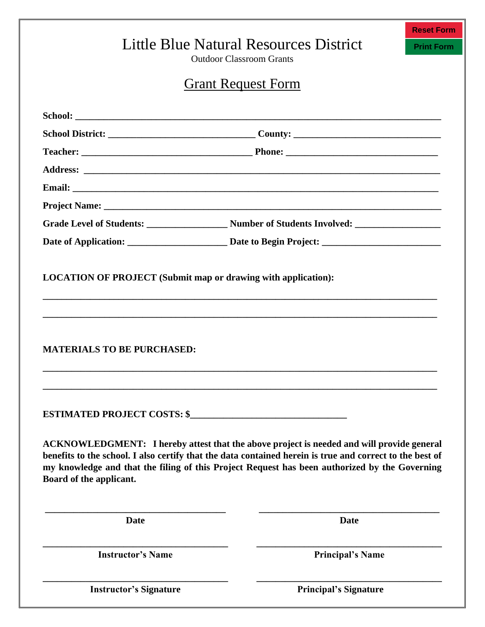|                                   | <b>Reset Form</b>                                                                                                                                                                                                                                                                                      |                   |
|-----------------------------------|--------------------------------------------------------------------------------------------------------------------------------------------------------------------------------------------------------------------------------------------------------------------------------------------------------|-------------------|
|                                   | Little Blue Natural Resources District<br><b>Outdoor Classroom Grants</b>                                                                                                                                                                                                                              | <b>Print Form</b> |
|                                   | <b>Grant Request Form</b>                                                                                                                                                                                                                                                                              |                   |
|                                   |                                                                                                                                                                                                                                                                                                        |                   |
|                                   |                                                                                                                                                                                                                                                                                                        |                   |
|                                   |                                                                                                                                                                                                                                                                                                        |                   |
|                                   |                                                                                                                                                                                                                                                                                                        |                   |
|                                   |                                                                                                                                                                                                                                                                                                        |                   |
|                                   |                                                                                                                                                                                                                                                                                                        |                   |
|                                   |                                                                                                                                                                                                                                                                                                        |                   |
|                                   |                                                                                                                                                                                                                                                                                                        |                   |
| <b>MATERIALS TO BE PURCHASED:</b> |                                                                                                                                                                                                                                                                                                        |                   |
|                                   |                                                                                                                                                                                                                                                                                                        |                   |
| Board of the applicant.           | ACKNOWLEDGMENT: I hereby attest that the above project is needed and will provide general<br>benefits to the school. I also certify that the data contained herein is true and correct to the best of<br>my knowledge and that the filing of this Project Request has been authorized by the Governing |                   |
| <b>Date</b>                       | <b>Date</b>                                                                                                                                                                                                                                                                                            |                   |
|                                   |                                                                                                                                                                                                                                                                                                        |                   |

**Instructor's Signature**

**Principal's Signature**